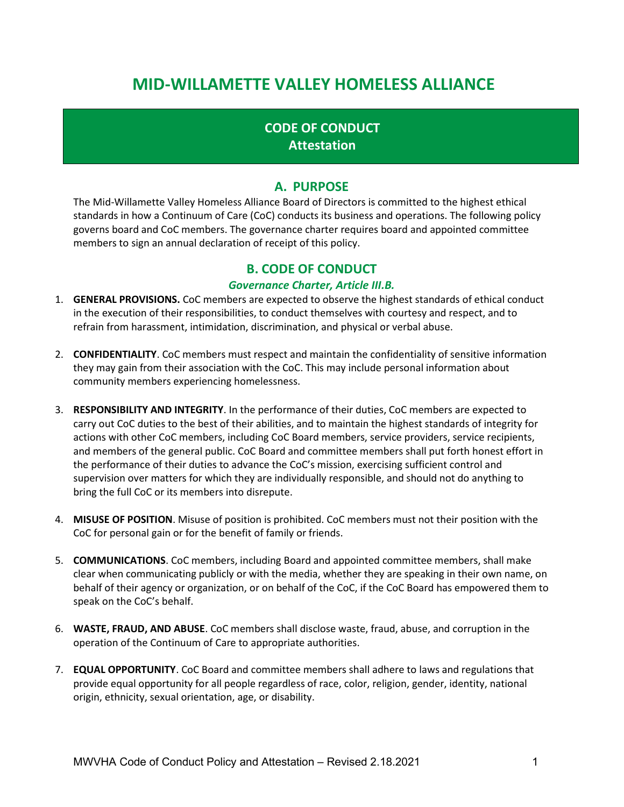# MID-WILLAMETTE VALLEY HOMELESS ALLIANCE

## CODE OF CONDUCT **Attestation**

### A. PURPOSE

The Mid-Willamette Valley Homeless Alliance Board of Directors is committed to the highest ethical standards in how a Continuum of Care (CoC) conducts its business and operations. The following policy governs board and CoC members. The governance charter requires board and appointed committee members to sign an annual declaration of receipt of this policy.

#### B. CODE OF CONDUCT

#### Governance Charter, Article III.B.

- 1. GENERAL PROVISIONS. CoC members are expected to observe the highest standards of ethical conduct in the execution of their responsibilities, to conduct themselves with courtesy and respect, and to refrain from harassment, intimidation, discrimination, and physical or verbal abuse.
- 2. **CONFIDENTIALITY**. CoC members must respect and maintain the confidentiality of sensitive information they may gain from their association with the CoC. This may include personal information about community members experiencing homelessness.
- 3. RESPONSIBILITY AND INTEGRITY. In the performance of their duties, CoC members are expected to carry out CoC duties to the best of their abilities, and to maintain the highest standards of integrity for actions with other CoC members, including CoC Board members, service providers, service recipients, and members of the general public. CoC Board and committee members shall put forth honest effort in the performance of their duties to advance the CoC's mission, exercising sufficient control and supervision over matters for which they are individually responsible, and should not do anything to bring the full CoC or its members into disrepute.
- 4. MISUSE OF POSITION. Misuse of position is prohibited. CoC members must not their position with the CoC for personal gain or for the benefit of family or friends.
- 5. **COMMUNICATIONS**. CoC members, including Board and appointed committee members, shall make clear when communicating publicly or with the media, whether they are speaking in their own name, on behalf of their agency or organization, or on behalf of the CoC, if the CoC Board has empowered them to speak on the CoC's behalf.
- 6. WASTE, FRAUD, AND ABUSE. CoC members shall disclose waste, fraud, abuse, and corruption in the operation of the Continuum of Care to appropriate authorities.
- 7. EQUAL OPPORTUNITY. CoC Board and committee members shall adhere to laws and regulations that provide equal opportunity for all people regardless of race, color, religion, gender, identity, national origin, ethnicity, sexual orientation, age, or disability.